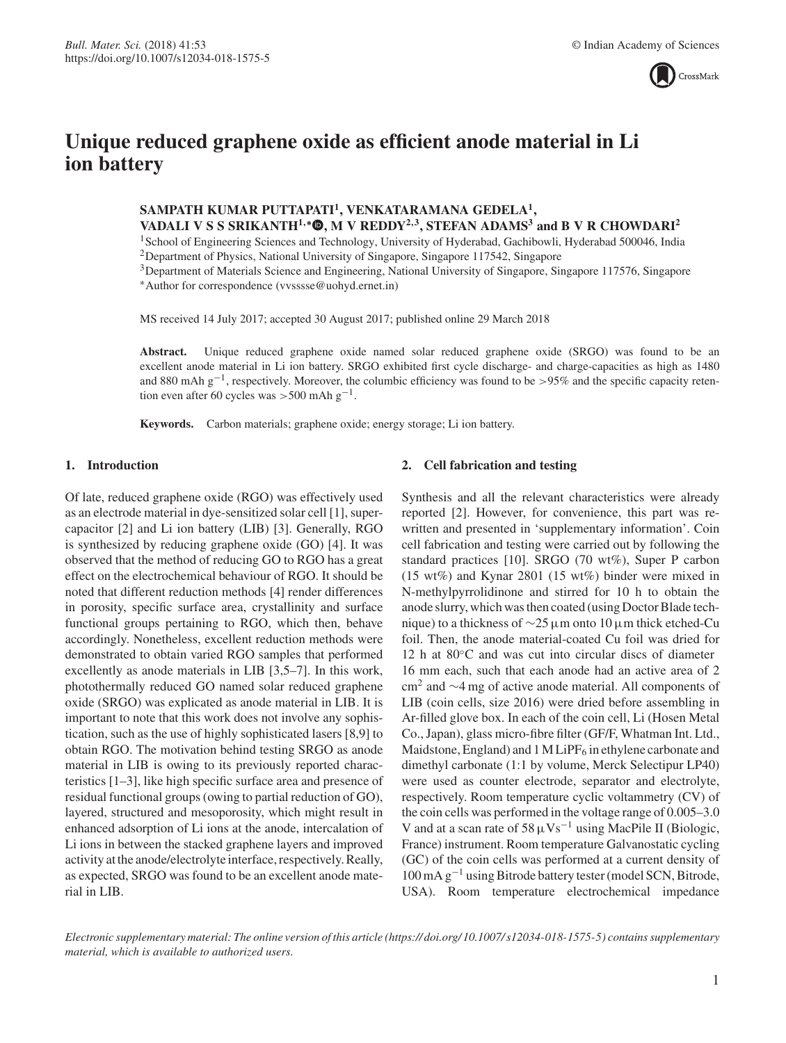

# **Unique reduced graphene oxide as efficient anode material in Li ion battery**

**SAMPATH KUMAR PUTTAPATI1, VENKATARAMANA GEDELA1, VADALI V S S SRIKANTH<sup>1</sup>***,***<sup>∗</sup> , M V REDDY<sup>2</sup>***,***3, STEFAN ADAMS3 and B V R CHOWDARI<sup>2</sup>**

<sup>1</sup>School of Engineering Sciences and Technology, University of Hyderabad, Gachibowli, Hyderabad 500046, India <sup>2</sup>Department of Physics, National University of Singapore, Singapore 117542, Singapore

3Department of Materials Science and Engineering, National University of Singapore, Singapore 117576, Singapore ∗Author for correspondence (vvsssse@uohyd.ernet.in)

MS received 14 July 2017; accepted 30 August 2017; published online 29 March 2018

**Abstract.** Unique reduced graphene oxide named solar reduced graphene oxide (SRGO) was found to be an excellent anode material in Li ion battery. SRGO exhibited first cycle discharge- and charge-capacities as high as 1480 and 880 mAh g−1, respectively. Moreover, the columbic efficiency was found to be >95% and the specific capacity retention even after 60 cycles was >500 mAh  $g^{-1}$ .

**Keywords.** Carbon materials; graphene oxide; energy storage; Li ion battery.

## **1. Introduction**

Of late, reduced graphene oxide (RGO) was effectively used as an electrode material in dye-sensitized solar cell [1], supercapacitor [2] and Li ion battery (LIB) [3]. Generally, RGO is synthesized by reducing graphene oxide (GO) [4]. It was observed that the method of reducing GO to RGO has a great effect on the electrochemical behaviour of RGO. It should be noted that different reduction methods [4] render differences in porosity, specific surface area, crystallinity and surface functional groups pertaining to RGO, which then, behave accordingly. Nonetheless, excellent reduction methods were demonstrated to obtain varied RGO samples that performed excellently as anode materials in LIB [3,5–7]. In this work, photothermally reduced GO named solar reduced graphene oxide (SRGO) was explicated as anode material in LIB. It is important to note that this work does not involve any sophistication, such as the use of highly sophisticated lasers [8,9] to obtain RGO. The motivation behind testing SRGO as anode material in LIB is owing to its previously reported characteristics [1–3], like high specific surface area and presence of residual functional groups (owing to partial reduction of GO), layered, structured and mesoporosity, which might result in enhanced adsorption of Li ions at the anode, intercalation of Li ions in between the stacked graphene layers and improved activity at the anode/electrolyte interface, respectively. Really, as expected, SRGO was found to be an excellent anode material in LIB.

## **2. Cell fabrication and testing**

Synthesis and all the relevant characteristics were already reported [2]. However, for convenience, this part was rewritten and presented in 'supplementary information'. Coin cell fabrication and testing were carried out by following the standard practices [10]. SRGO (70 wt%), Super P carbon (15 wt%) and Kynar 2801 (15 wt%) binder were mixed in N-methylpyrrolidinone and stirred for 10 h to obtain the anode slurry, which was then coated (using Doctor Blade technique) to a thickness of ∼25μm onto 10 μm thick etched-Cu foil. Then, the anode material-coated Cu foil was dried for 12 h at 80◦C and was cut into circular discs of diameter 16 mm each, such that each anode had an active area of 2 cm<sup>2</sup> and ∼4 mg of active anode material. All components of LIB (coin cells, size 2016) were dried before assembling in Ar-filled glove box. In each of the coin cell, Li (Hosen Metal Co., Japan), glass micro-fibre filter (GF/F, Whatman Int. Ltd., Maidstone, England) and  $1 \text{ M}$  LiPF<sub>6</sub> in ethylene carbonate and dimethyl carbonate (1:1 by volume, Merck Selectipur LP40) were used as counter electrode, separator and electrolyte, respectively. Room temperature cyclic voltammetry (CV) of the coin cells was performed in the voltage range of 0.005–3.0 V and at a scan rate of  $58 \mu\text{Vs}^{-1}$  using MacPile II (Biologic, France) instrument. Room temperature Galvanostatic cycling (GC) of the coin cells was performed at a current density of 100 mA g−<sup>1</sup> using Bitrode battery tester (model SCN, Bitrode, USA). Room temperature electrochemical impedance

*Electronic supplementary material: The online version of this article (https:// doi.org/ 10.1007/ s12034-018-1575-5) contains supplementary material, which is available to authorized users.*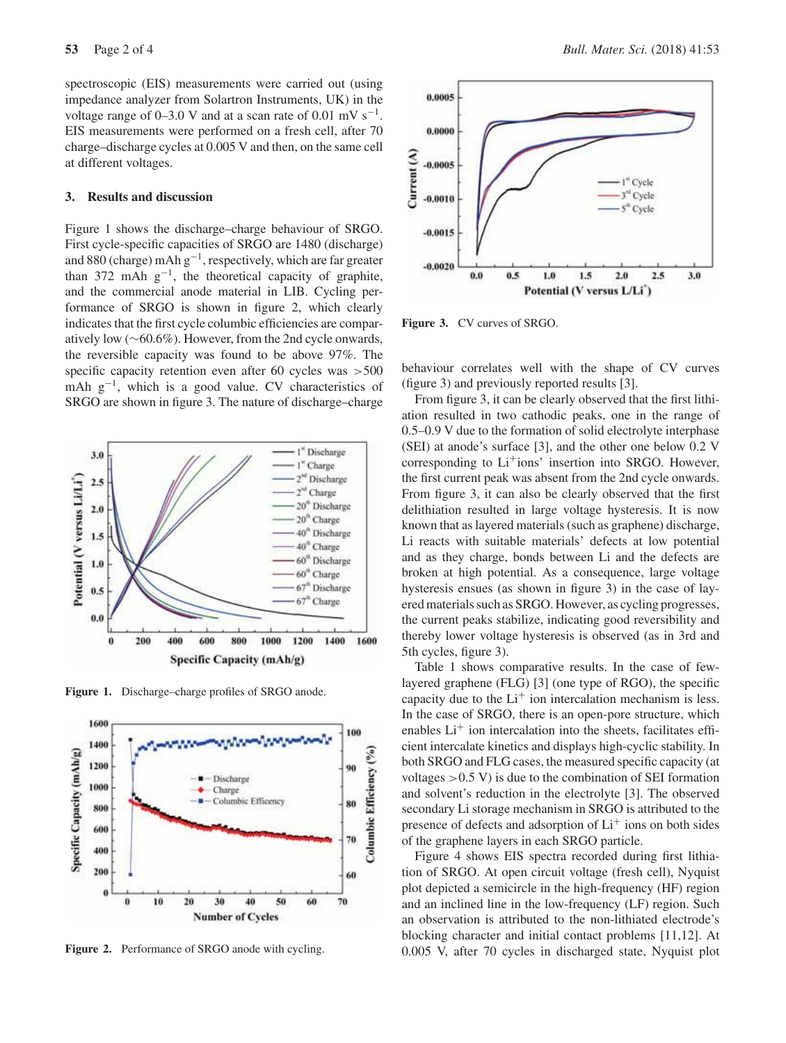spectroscopic (EIS) measurements were carried out (using impedance analyzer from Solartron Instruments, UK) in the voltage range of 0–3.0 V and at a scan rate of 0.01 mV s<sup>-1</sup>. EIS measurements were performed on a fresh cell, after 70 charge–discharge cycles at 0.005 V and then, on the same cell at different voltages.

### **3. Results and discussion**

Figure 1 shows the discharge–charge behaviour of SRGO. First cycle-specific capacities of SRGO are 1480 (discharge) and 880 (charge) mAh  $g^{-1}$ , respectively, which are far greater than 372 mAh  $g^{-1}$ , the theoretical capacity of graphite, and the commercial anode material in LIB. Cycling performance of SRGO is shown in figure 2, which clearly indicates that the first cycle columbic efficiencies are comparatively low (∼60.6%). However, from the 2nd cycle onwards, the reversible capacity was found to be above 97%. The specific capacity retention even after 60 cycles was  $>500$ mAh  $g^{-1}$ , which is a good value. CV characteristics of SRGO are shown in figure 3. The nature of discharge–charge



**Figure 1.** Discharge–charge profiles of SRGO anode.



Figure 2. Performance of SRGO anode with cycling.



**Figure 3.** CV curves of SRGO.

behaviour correlates well with the shape of CV curves (figure 3) and previously reported results [3].

From figure 3, it can be clearly observed that the first lithiation resulted in two cathodic peaks, one in the range of 0.5–0.9 V due to the formation of solid electrolyte interphase (SEI) at anode's surface [3], and the other one below 0.2 V corresponding to  $Li<sup>+</sup>ions'$  insertion into SRGO. However, the first current peak was absent from the 2nd cycle onwards. From figure 3, it can also be clearly observed that the first delithiation resulted in large voltage hysteresis. It is now known that as layered materials (such as graphene) discharge, Li reacts with suitable materials' defects at low potential and as they charge, bonds between Li and the defects are broken at high potential. As a consequence, large voltage hysteresis ensues (as shown in figure 3) in the case of layered materials such as SRGO. However, as cycling progresses, the current peaks stabilize, indicating good reversibility and thereby lower voltage hysteresis is observed (as in 3rd and 5th cycles, figure 3).

Table 1 shows comparative results. In the case of fewlayered graphene (FLG) [3] (one type of RGO), the specific capacity due to the  $Li<sup>+</sup>$  ion intercalation mechanism is less. In the case of SRGO, there is an open-pore structure, which enables  $Li<sup>+</sup>$  ion intercalation into the sheets, facilitates efficient intercalate kinetics and displays high-cyclic stability. In both SRGO and FLG cases, the measured specific capacity (at voltages  $>0.5$  V) is due to the combination of SEI formation and solvent's reduction in the electrolyte [3]. The observed secondary Li storage mechanism in SRGO is attributed to the presence of defects and adsorption of  $Li<sup>+</sup>$  ions on both sides of the graphene layers in each SRGO particle.

Figure 4 shows EIS spectra recorded during first lithiation of SRGO. At open circuit voltage (fresh cell), Nyquist plot depicted a semicircle in the high-frequency (HF) region and an inclined line in the low-frequency (LF) region. Such an observation is attributed to the non-lithiated electrode's blocking character and initial contact problems [11,12]. At 0.005 V, after 70 cycles in discharged state, Nyquist plot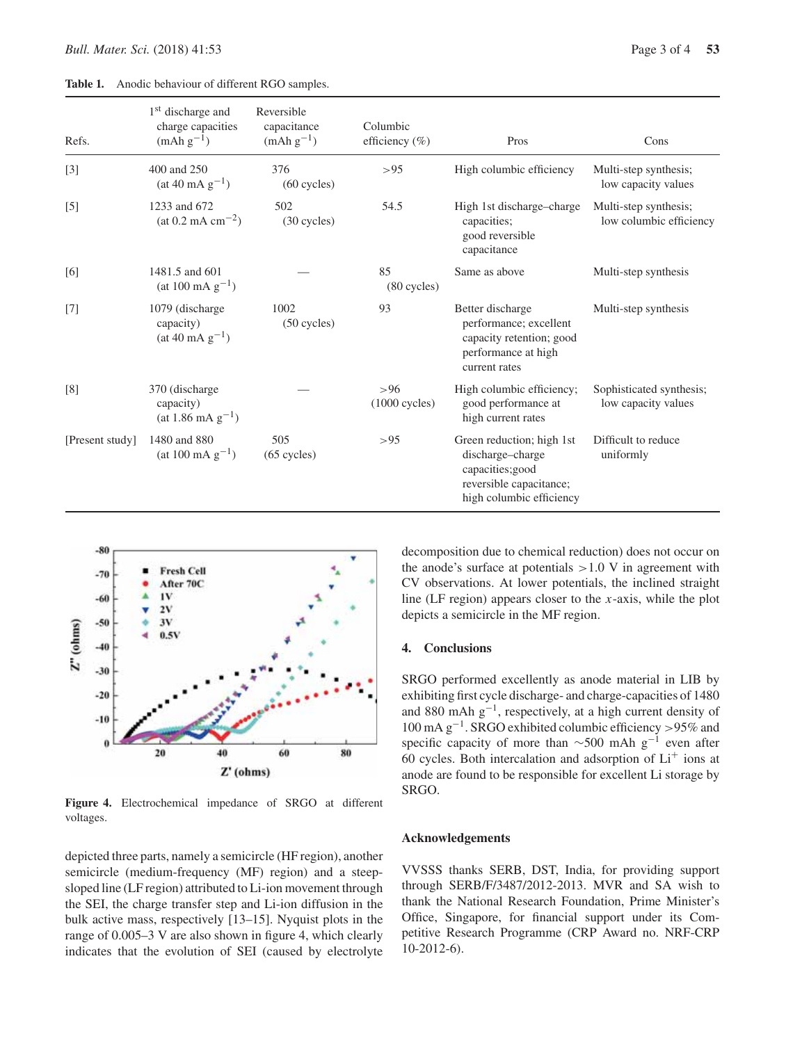**Table 1.** Anodic behaviour of different RGO samples.

| Refs.           | 1 <sup>st</sup> discharge and<br>charge capacities<br>$(mAh g-1)$ | Reversible<br>capacitance<br>$(mAh g-1)$ | Columbic<br>efficiency $(\%)$ | Pros                                                                                                                    | Cons                                             |
|-----------------|-------------------------------------------------------------------|------------------------------------------|-------------------------------|-------------------------------------------------------------------------------------------------------------------------|--------------------------------------------------|
| $[3]$           | 400 and 250<br>$(at 40 mA g^{-1})$                                | 376<br>$(60$ cycles)                     | >95                           | High columbic efficiency                                                                                                | Multi-step synthesis;<br>low capacity values     |
| $[5]$           | 1233 and 672<br>$(at 0.2 mA cm-2)$                                | 502<br>(30 cycles)                       | 54.5                          | High 1st discharge-charge<br>capacities;<br>good reversible<br>capacitance                                              | Multi-step synthesis;<br>low columbic efficiency |
| [6]             | 1481.5 and 601<br>$(at 100 mA g-1)$                               |                                          | 85<br>$(80$ cycles)           | Same as above                                                                                                           | Multi-step synthesis                             |
| $[7]$           | 1079 (discharge)<br>capacity)<br>$(at 40 mA g^{-1})$              | 1002<br>$(50$ cycles)                    | 93                            | Better discharge<br>performance; excellent<br>capacity retention; good<br>performance at high<br>current rates          | Multi-step synthesis                             |
| [8]             | 370 (discharge)<br>capacity)<br>$(at 1.86 \text{ mA g}^{-1})$     |                                          | > 96<br>$(1000$ cycles)       | High columbic efficiency;<br>good performance at<br>high current rates                                                  | Sophisticated synthesis;<br>low capacity values  |
| [Present study] | 1480 and 880<br>$(at 100 mA g-1)$                                 | 505<br>$(65$ cycles)                     | > 95                          | Green reduction; high 1st<br>discharge-charge<br>capacities;good<br>reversible capacitance;<br>high columbic efficiency | Difficult to reduce<br>uniformly                 |



**Figure 4.** Electrochemical impedance of SRGO at different voltages.

depicted three parts, namely a semicircle (HF region), another semicircle (medium-frequency (MF) region) and a steepsloped line (LF region) attributed to Li-ion movement through the SEI, the charge transfer step and Li-ion diffusion in the bulk active mass, respectively [13–15]. Nyquist plots in the range of 0.005–3 V are also shown in figure 4, which clearly indicates that the evolution of SEI (caused by electrolyte decomposition due to chemical reduction) does not occur on the anode's surface at potentials  $>1.0$  V in agreement with CV observations. At lower potentials, the inclined straight line (LF region) appears closer to the *x*-axis, while the plot depicts a semicircle in the MF region.

#### **4. Conclusions**

SRGO performed excellently as anode material in LIB by exhibiting first cycle discharge- and charge-capacities of 1480 and 880 mAh g−1, respectively, at a high current density of 100 mA g−1. SRGO exhibited columbic efficiency >95% and specific capacity of more than  $\sim$ 500 mAh g<sup>-1</sup> even after 60 cycles. Both intercalation and adsorption of  $Li<sup>+</sup>$  ions at anode are found to be responsible for excellent Li storage by SRGO.

### **Acknowledgements**

VVSSS thanks SERB, DST, India, for providing support through SERB/F/3487/2012-2013. MVR and SA wish to thank the National Research Foundation, Prime Minister's Office, Singapore, for financial support under its Competitive Research Programme (CRP Award no. NRF-CRP 10-2012-6).